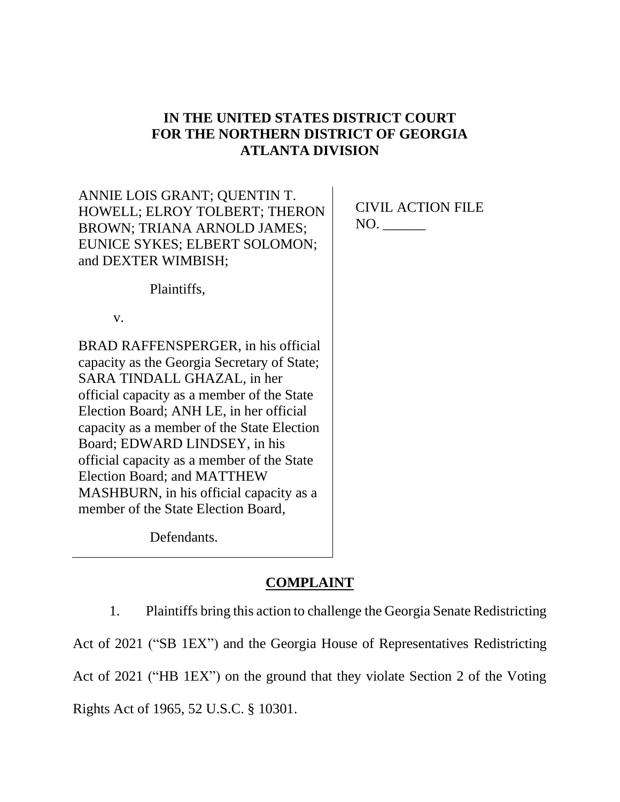# **IN THE UNITED STATES DISTRICT COURT FOR THE NORTHERN DISTRICT OF GEORGIA ATLANTA DIVISION**

ANNIE LOIS GRANT; QUENTIN T. HOWELL; ELROY TOLBERT; THERON BROWN; TRIANA ARNOLD JAMES; EUNICE SYKES; ELBERT SOLOMON; and DEXTER WIMBISH;

CIVIL ACTION FILE NO. \_\_\_\_\_\_

Plaintiffs,

v.

BRAD RAFFENSPERGER, in his official capacity as the Georgia Secretary of State; SARA TINDALL GHAZAL, in her official capacity as a member of the State Election Board; ANH LE, in her official capacity as a member of the State Election Board; EDWARD LINDSEY, in his official capacity as a member of the State Election Board; and MATTHEW MASHBURN, in his official capacity as a member of the State Election Board,

Defendants.

# **COMPLAINT**

1. Plaintiffs bring this action to challenge the Georgia Senate Redistricting Act of 2021 ("SB 1EX") and the Georgia House of Representatives Redistricting Act of 2021 ("HB 1EX") on the ground that they violate Section 2 of the Voting Rights Act of 1965, 52 U.S.C. § 10301.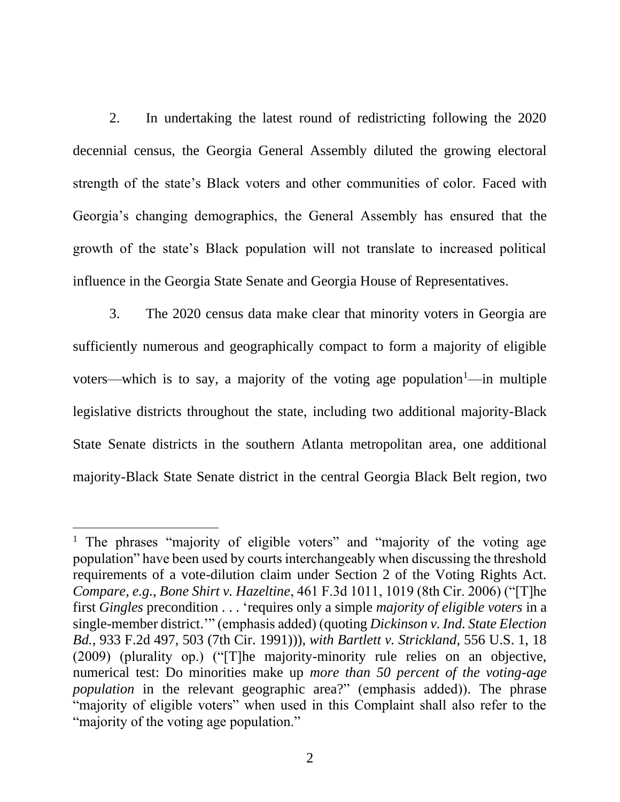2. In undertaking the latest round of redistricting following the 2020 decennial census, the Georgia General Assembly diluted the growing electoral strength of the state's Black voters and other communities of color. Faced with Georgia's changing demographics, the General Assembly has ensured that the growth of the state's Black population will not translate to increased political influence in the Georgia State Senate and Georgia House of Representatives.

3. The 2020 census data make clear that minority voters in Georgia are sufficiently numerous and geographically compact to form a majority of eligible voters—which is to say, a majority of the voting age population<sup>1</sup>—in multiple legislative districts throughout the state, including two additional majority-Black State Senate districts in the southern Atlanta metropolitan area, one additional majority-Black State Senate district in the central Georgia Black Belt region, two

<sup>&</sup>lt;sup>1</sup> The phrases "majority of eligible voters" and "majority of the voting age population" have been used by courts interchangeably when discussing the threshold requirements of a vote-dilution claim under Section 2 of the Voting Rights Act. *Compare, e.g.*, *Bone Shirt v. Hazeltine*, 461 F.3d 1011, 1019 (8th Cir. 2006) ("[T]he first *Gingles* precondition . . . 'requires only a simple *majority of eligible voters* in a single-member district.'" (emphasis added) (quoting *Dickinson v. Ind. State Election Bd.*, 933 F.2d 497, 503 (7th Cir. 1991))), *with Bartlett v. Strickland*, 556 U.S. 1, 18 (2009) (plurality op.) ("[T]he majority-minority rule relies on an objective, numerical test: Do minorities make up *more than 50 percent of the voting-age population* in the relevant geographic area?" (emphasis added)). The phrase "majority of eligible voters" when used in this Complaint shall also refer to the "majority of the voting age population."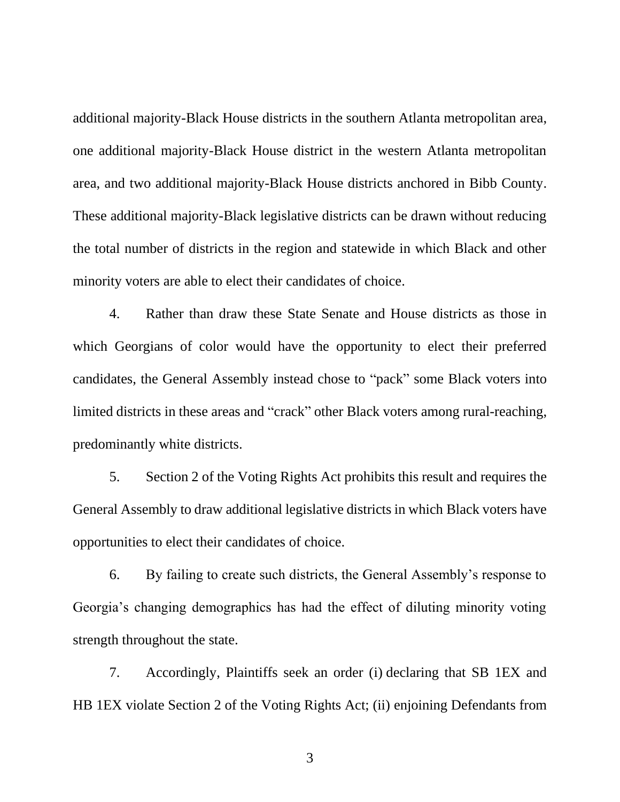additional majority-Black House districts in the southern Atlanta metropolitan area, one additional majority-Black House district in the western Atlanta metropolitan area, and two additional majority-Black House districts anchored in Bibb County. These additional majority-Black legislative districts can be drawn without reducing the total number of districts in the region and statewide in which Black and other minority voters are able to elect their candidates of choice.

4. Rather than draw these State Senate and House districts as those in which Georgians of color would have the opportunity to elect their preferred candidates, the General Assembly instead chose to "pack" some Black voters into limited districts in these areas and "crack" other Black voters among rural-reaching, predominantly white districts.

5. Section 2 of the Voting Rights Act prohibits this result and requires the General Assembly to draw additional legislative districts in which Black voters have opportunities to elect their candidates of choice.

6. By failing to create such districts, the General Assembly's response to Georgia's changing demographics has had the effect of diluting minority voting strength throughout the state.

7. Accordingly, Plaintiffs seek an order (i) declaring that SB 1EX and HB 1EX violate Section 2 of the Voting Rights Act; (ii) enjoining Defendants from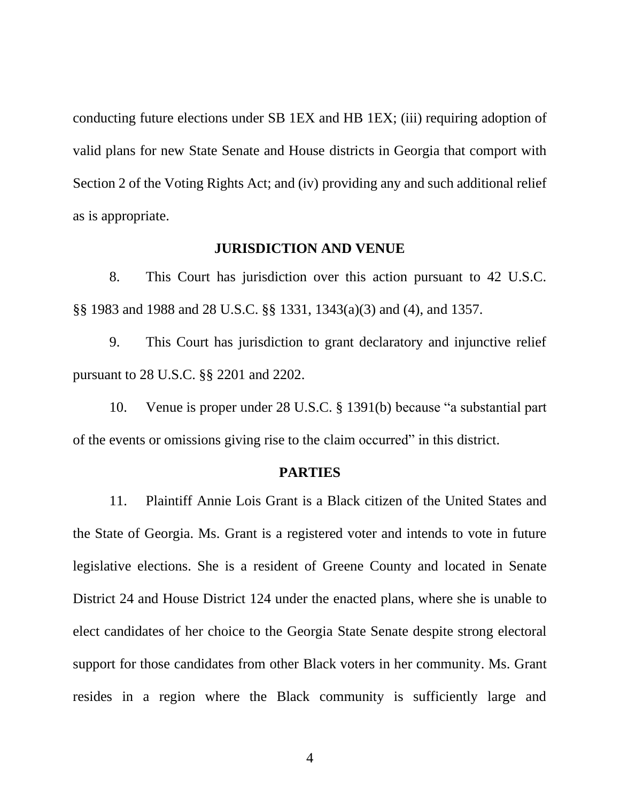conducting future elections under SB 1EX and HB 1EX; (iii) requiring adoption of valid plans for new State Senate and House districts in Georgia that comport with Section 2 of the Voting Rights Act; and (iv) providing any and such additional relief as is appropriate.

### **JURISDICTION AND VENUE**

8. This Court has jurisdiction over this action pursuant to 42 U.S.C. §§ 1983 and 1988 and 28 U.S.C. §§ 1331, 1343(a)(3) and (4), and 1357.

9. This Court has jurisdiction to grant declaratory and injunctive relief pursuant to 28 U.S.C. §§ 2201 and 2202.

10. Venue is proper under 28 U.S.C. § 1391(b) because "a substantial part of the events or omissions giving rise to the claim occurred" in this district.

#### **PARTIES**

11. Plaintiff Annie Lois Grant is a Black citizen of the United States and the State of Georgia. Ms. Grant is a registered voter and intends to vote in future legislative elections. She is a resident of Greene County and located in Senate District 24 and House District 124 under the enacted plans, where she is unable to elect candidates of her choice to the Georgia State Senate despite strong electoral support for those candidates from other Black voters in her community. Ms. Grant resides in a region where the Black community is sufficiently large and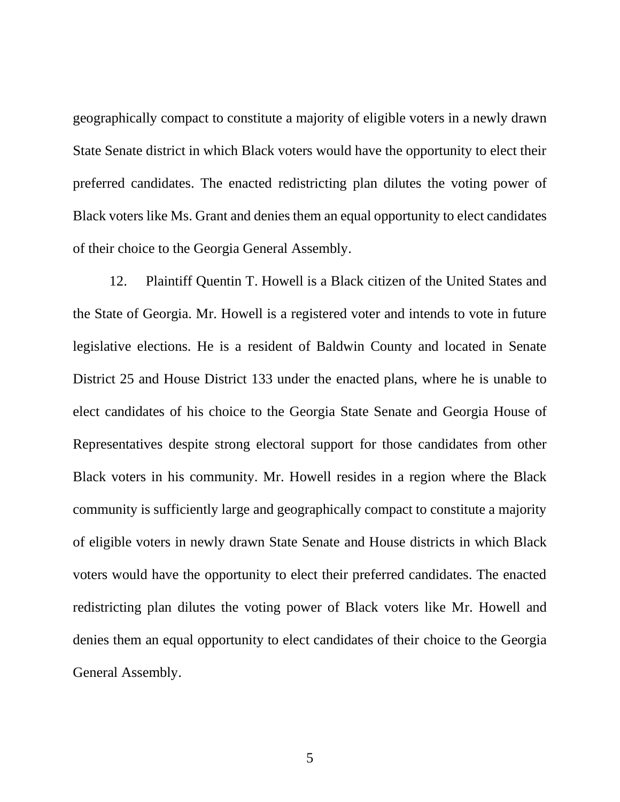geographically compact to constitute a majority of eligible voters in a newly drawn State Senate district in which Black voters would have the opportunity to elect their preferred candidates. The enacted redistricting plan dilutes the voting power of Black voters like Ms. Grant and denies them an equal opportunity to elect candidates of their choice to the Georgia General Assembly.

12. Plaintiff Quentin T. Howell is a Black citizen of the United States and the State of Georgia. Mr. Howell is a registered voter and intends to vote in future legislative elections. He is a resident of Baldwin County and located in Senate District 25 and House District 133 under the enacted plans, where he is unable to elect candidates of his choice to the Georgia State Senate and Georgia House of Representatives despite strong electoral support for those candidates from other Black voters in his community. Mr. Howell resides in a region where the Black community is sufficiently large and geographically compact to constitute a majority of eligible voters in newly drawn State Senate and House districts in which Black voters would have the opportunity to elect their preferred candidates. The enacted redistricting plan dilutes the voting power of Black voters like Mr. Howell and denies them an equal opportunity to elect candidates of their choice to the Georgia General Assembly.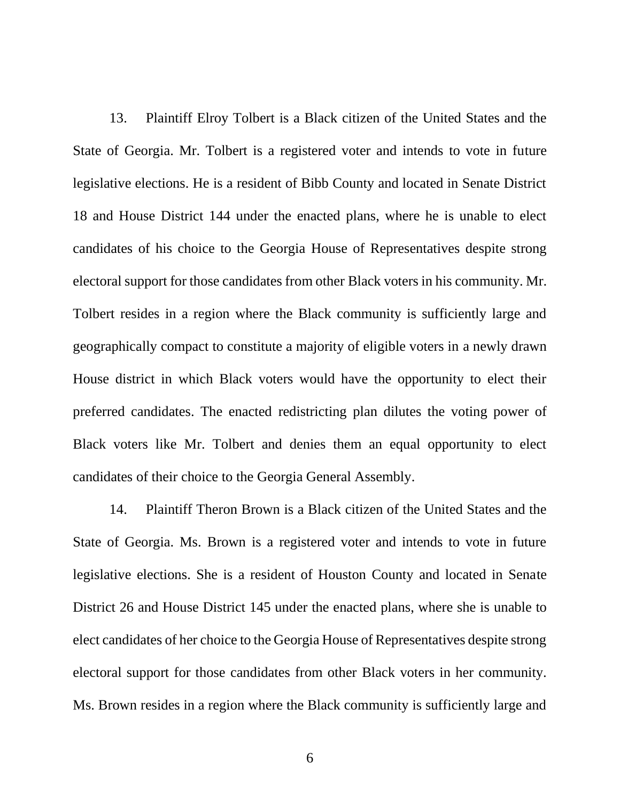13. Plaintiff Elroy Tolbert is a Black citizen of the United States and the State of Georgia. Mr. Tolbert is a registered voter and intends to vote in future legislative elections. He is a resident of Bibb County and located in Senate District 18 and House District 144 under the enacted plans, where he is unable to elect candidates of his choice to the Georgia House of Representatives despite strong electoral support for those candidates from other Black voters in his community. Mr. Tolbert resides in a region where the Black community is sufficiently large and geographically compact to constitute a majority of eligible voters in a newly drawn House district in which Black voters would have the opportunity to elect their preferred candidates. The enacted redistricting plan dilutes the voting power of Black voters like Mr. Tolbert and denies them an equal opportunity to elect candidates of their choice to the Georgia General Assembly.

14. Plaintiff Theron Brown is a Black citizen of the United States and the State of Georgia. Ms. Brown is a registered voter and intends to vote in future legislative elections. She is a resident of Houston County and located in Senate District 26 and House District 145 under the enacted plans, where she is unable to elect candidates of her choice to the Georgia House of Representatives despite strong electoral support for those candidates from other Black voters in her community. Ms. Brown resides in a region where the Black community is sufficiently large and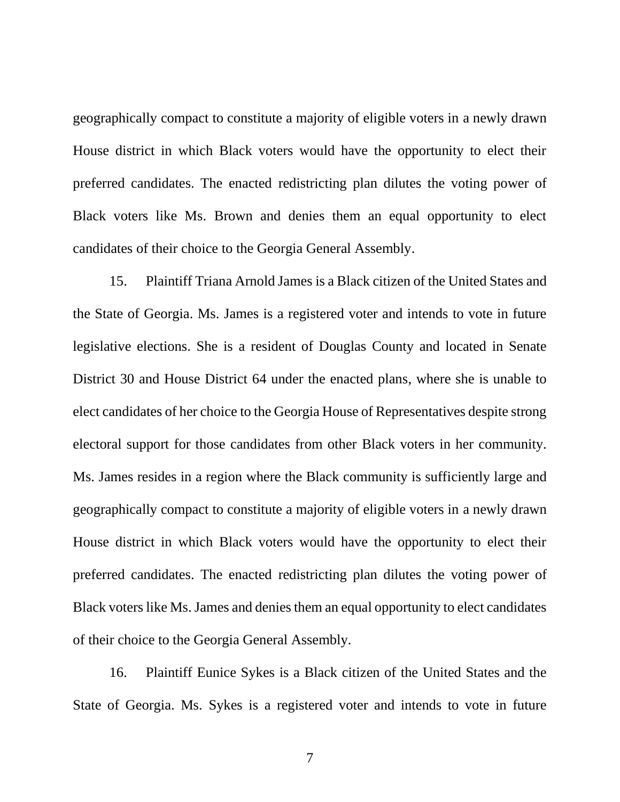geographically compact to constitute a majority of eligible voters in a newly drawn House district in which Black voters would have the opportunity to elect their preferred candidates. The enacted redistricting plan dilutes the voting power of Black voters like Ms. Brown and denies them an equal opportunity to elect candidates of their choice to the Georgia General Assembly.

15. Plaintiff Triana Arnold James is a Black citizen of the United States and the State of Georgia. Ms. James is a registered voter and intends to vote in future legislative elections. She is a resident of Douglas County and located in Senate District 30 and House District 64 under the enacted plans, where she is unable to elect candidates of her choice to the Georgia House of Representatives despite strong electoral support for those candidates from other Black voters in her community. Ms. James resides in a region where the Black community is sufficiently large and geographically compact to constitute a majority of eligible voters in a newly drawn House district in which Black voters would have the opportunity to elect their preferred candidates. The enacted redistricting plan dilutes the voting power of Black voters like Ms. James and denies them an equal opportunity to elect candidates of their choice to the Georgia General Assembly.

16. Plaintiff Eunice Sykes is a Black citizen of the United States and the State of Georgia. Ms. Sykes is a registered voter and intends to vote in future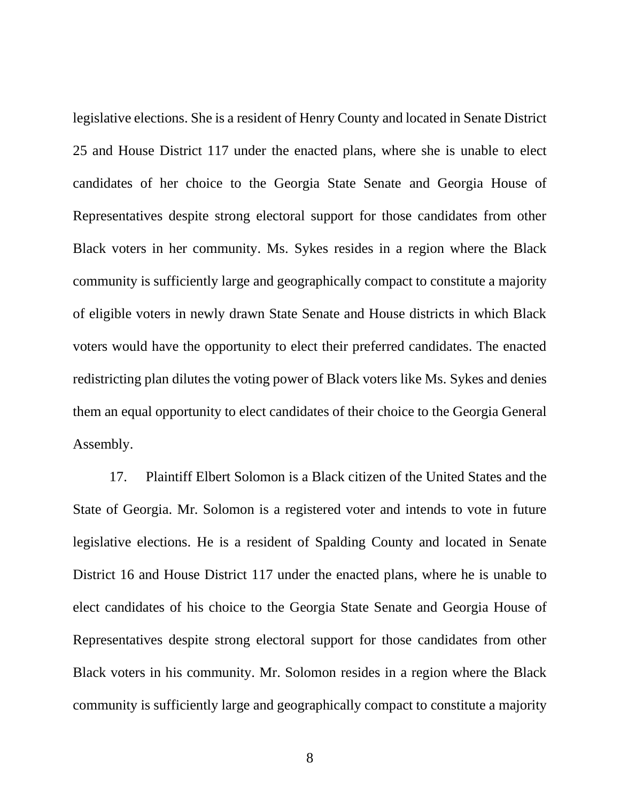legislative elections. She is a resident of Henry County and located in Senate District 25 and House District 117 under the enacted plans, where she is unable to elect candidates of her choice to the Georgia State Senate and Georgia House of Representatives despite strong electoral support for those candidates from other Black voters in her community. Ms. Sykes resides in a region where the Black community is sufficiently large and geographically compact to constitute a majority of eligible voters in newly drawn State Senate and House districts in which Black voters would have the opportunity to elect their preferred candidates. The enacted redistricting plan dilutes the voting power of Black voters like Ms. Sykes and denies them an equal opportunity to elect candidates of their choice to the Georgia General Assembly.

17. Plaintiff Elbert Solomon is a Black citizen of the United States and the State of Georgia. Mr. Solomon is a registered voter and intends to vote in future legislative elections. He is a resident of Spalding County and located in Senate District 16 and House District 117 under the enacted plans, where he is unable to elect candidates of his choice to the Georgia State Senate and Georgia House of Representatives despite strong electoral support for those candidates from other Black voters in his community. Mr. Solomon resides in a region where the Black community is sufficiently large and geographically compact to constitute a majority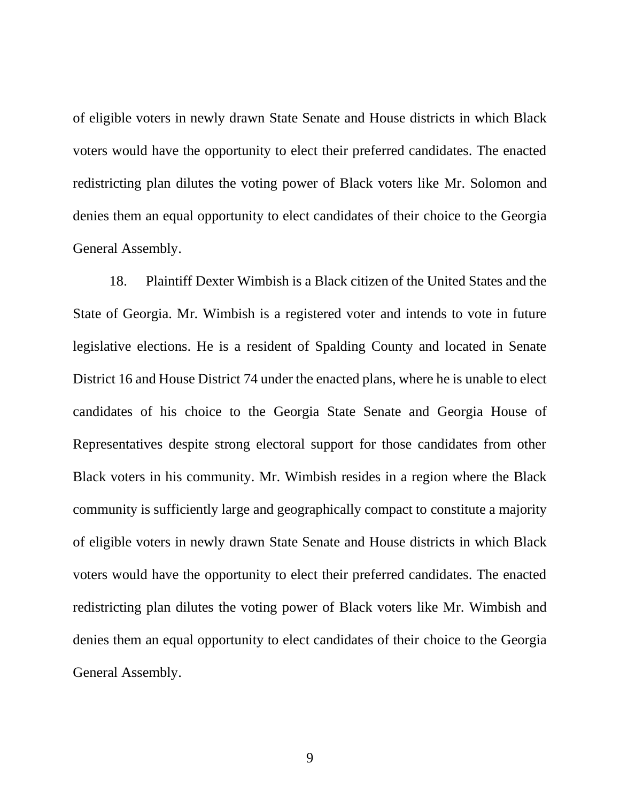of eligible voters in newly drawn State Senate and House districts in which Black voters would have the opportunity to elect their preferred candidates. The enacted redistricting plan dilutes the voting power of Black voters like Mr. Solomon and denies them an equal opportunity to elect candidates of their choice to the Georgia General Assembly.

18. Plaintiff Dexter Wimbish is a Black citizen of the United States and the State of Georgia. Mr. Wimbish is a registered voter and intends to vote in future legislative elections. He is a resident of Spalding County and located in Senate District 16 and House District 74 under the enacted plans, where he is unable to elect candidates of his choice to the Georgia State Senate and Georgia House of Representatives despite strong electoral support for those candidates from other Black voters in his community. Mr. Wimbish resides in a region where the Black community is sufficiently large and geographically compact to constitute a majority of eligible voters in newly drawn State Senate and House districts in which Black voters would have the opportunity to elect their preferred candidates. The enacted redistricting plan dilutes the voting power of Black voters like Mr. Wimbish and denies them an equal opportunity to elect candidates of their choice to the Georgia General Assembly.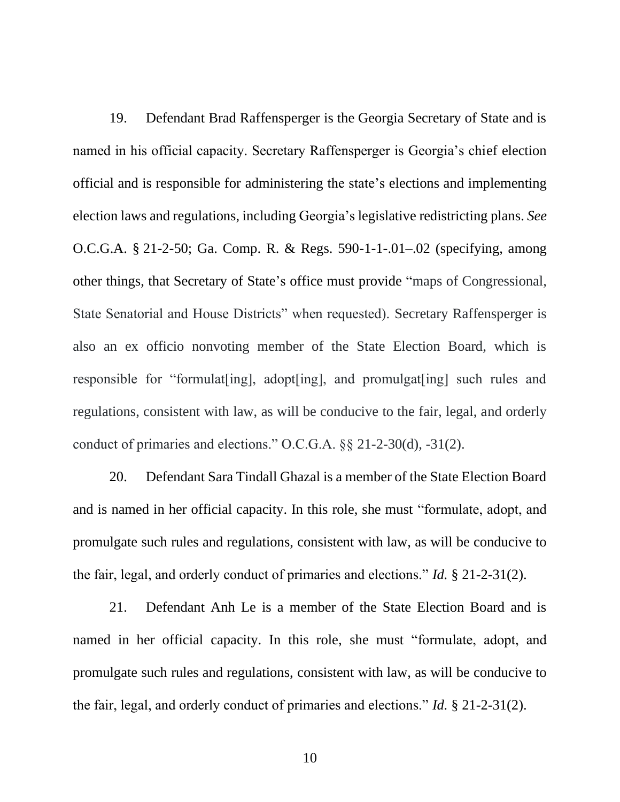19. Defendant Brad Raffensperger is the Georgia Secretary of State and is named in his official capacity. Secretary Raffensperger is Georgia's chief election official and is responsible for administering the state's elections and implementing election laws and regulations, including Georgia's legislative redistricting plans. *See* O.C.G.A. § 21-2-50; Ga. Comp. R. & Regs. 590-1-1-.01–.02 (specifying, among other things, that Secretary of State's office must provide "maps of Congressional, State Senatorial and House Districts" when requested). Secretary Raffensperger is also an ex officio nonvoting member of the State Election Board, which is responsible for "formulat[ing], adopt[ing], and promulgat[ing] such rules and regulations, consistent with law, as will be conducive to the fair, legal, and orderly conduct of primaries and elections." O.C.G.A. §§ 21-2-30(d), -31(2).

20. Defendant Sara Tindall Ghazal is a member of the State Election Board and is named in her official capacity. In this role, she must "formulate, adopt, and promulgate such rules and regulations, consistent with law, as will be conducive to the fair, legal, and orderly conduct of primaries and elections." *Id.* § 21-2-31(2).

21. Defendant Anh Le is a member of the State Election Board and is named in her official capacity. In this role, she must "formulate, adopt, and promulgate such rules and regulations, consistent with law, as will be conducive to the fair, legal, and orderly conduct of primaries and elections." *Id.* § 21-2-31(2).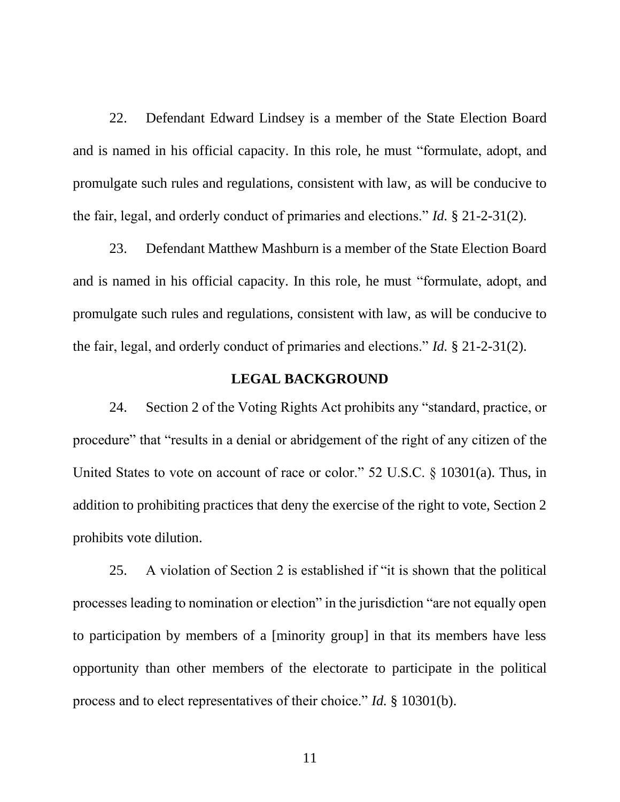22. Defendant Edward Lindsey is a member of the State Election Board and is named in his official capacity. In this role, he must "formulate, adopt, and promulgate such rules and regulations, consistent with law, as will be conducive to the fair, legal, and orderly conduct of primaries and elections." *Id.* § 21-2-31(2).

23. Defendant Matthew Mashburn is a member of the State Election Board and is named in his official capacity. In this role, he must "formulate, adopt, and promulgate such rules and regulations, consistent with law, as will be conducive to the fair, legal, and orderly conduct of primaries and elections." *Id.* § 21-2-31(2).

### **LEGAL BACKGROUND**

24. Section 2 of the Voting Rights Act prohibits any "standard, practice, or procedure" that "results in a denial or abridgement of the right of any citizen of the United States to vote on account of race or color." 52 U.S.C. § 10301(a). Thus, in addition to prohibiting practices that deny the exercise of the right to vote, Section 2 prohibits vote dilution.

25. A violation of Section 2 is established if "it is shown that the political processes leading to nomination or election" in the jurisdiction "are not equally open to participation by members of a [minority group] in that its members have less opportunity than other members of the electorate to participate in the political process and to elect representatives of their choice." *Id.* § 10301(b).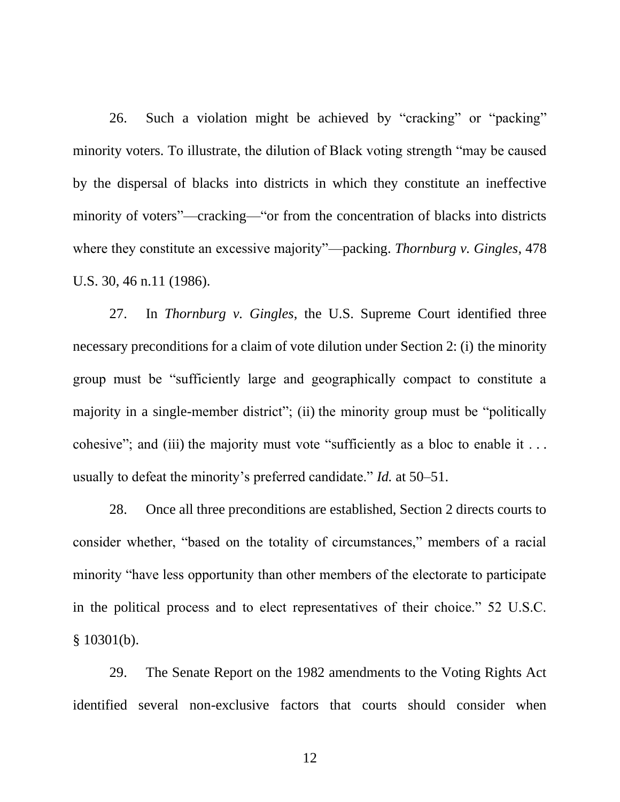26. Such a violation might be achieved by "cracking" or "packing" minority voters. To illustrate, the dilution of Black voting strength "may be caused by the dispersal of blacks into districts in which they constitute an ineffective minority of voters"—cracking—"or from the concentration of blacks into districts where they constitute an excessive majority"—packing. *Thornburg v. Gingles*, 478 U.S. 30, 46 n.11 (1986).

27. In *Thornburg v. Gingles*, the U.S. Supreme Court identified three necessary preconditions for a claim of vote dilution under Section 2: (i) the minority group must be "sufficiently large and geographically compact to constitute a majority in a single-member district"; (ii) the minority group must be "politically cohesive"; and (iii) the majority must vote "sufficiently as a bloc to enable it . . . usually to defeat the minority's preferred candidate." *Id.* at 50–51.

28. Once all three preconditions are established, Section 2 directs courts to consider whether, "based on the totality of circumstances," members of a racial minority "have less opportunity than other members of the electorate to participate in the political process and to elect representatives of their choice." 52 U.S.C. § 10301(b).

29. The Senate Report on the 1982 amendments to the Voting Rights Act identified several non-exclusive factors that courts should consider when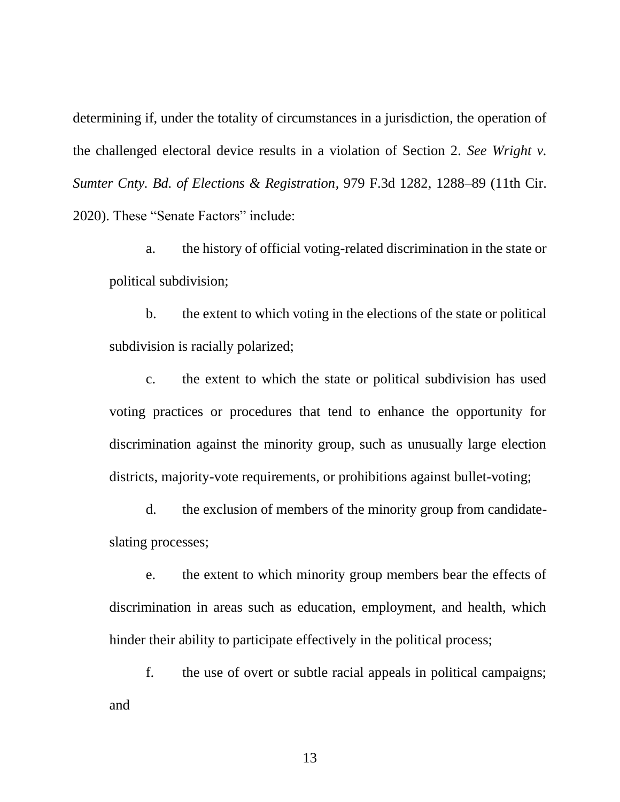determining if, under the totality of circumstances in a jurisdiction, the operation of the challenged electoral device results in a violation of Section 2. *See Wright v. Sumter Cnty. Bd. of Elections & Registration*, 979 F.3d 1282, 1288–89 (11th Cir. 2020). These "Senate Factors" include:

a. the history of official voting-related discrimination in the state or political subdivision;

b. the extent to which voting in the elections of the state or political subdivision is racially polarized;

c. the extent to which the state or political subdivision has used voting practices or procedures that tend to enhance the opportunity for discrimination against the minority group, such as unusually large election districts, majority-vote requirements, or prohibitions against bullet-voting;

d. the exclusion of members of the minority group from candidateslating processes;

e. the extent to which minority group members bear the effects of discrimination in areas such as education, employment, and health, which hinder their ability to participate effectively in the political process;

f. the use of overt or subtle racial appeals in political campaigns; and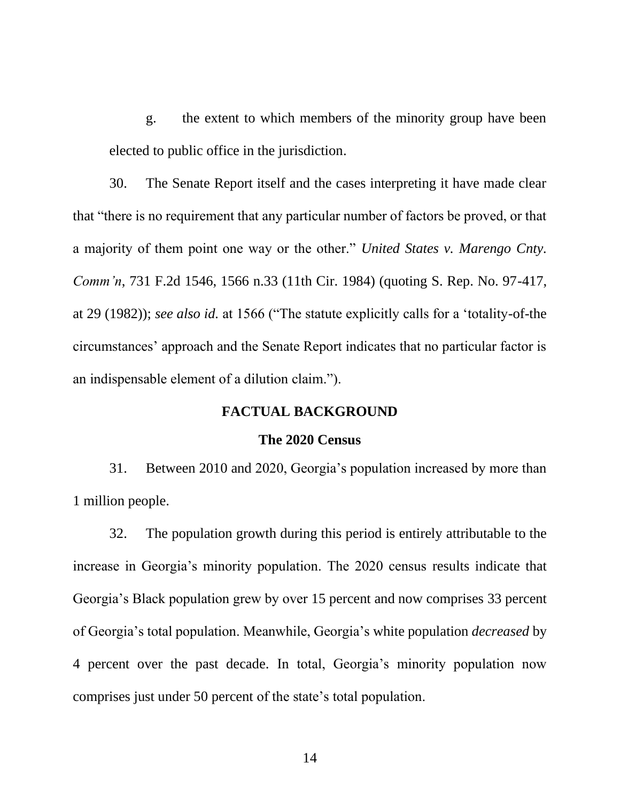g. the extent to which members of the minority group have been elected to public office in the jurisdiction.

30. The Senate Report itself and the cases interpreting it have made clear that "there is no requirement that any particular number of factors be proved, or that a majority of them point one way or the other." *United States v. Marengo Cnty. Comm'n*, 731 F.2d 1546, 1566 n.33 (11th Cir. 1984) (quoting S. Rep. No. 97-417, at 29 (1982)); *see also id.* at 1566 ("The statute explicitly calls for a 'totality-of-the circumstances' approach and the Senate Report indicates that no particular factor is an indispensable element of a dilution claim.").

## **FACTUAL BACKGROUND**

#### **The 2020 Census**

31. Between 2010 and 2020, Georgia's population increased by more than 1 million people.

32. The population growth during this period is entirely attributable to the increase in Georgia's minority population. The 2020 census results indicate that Georgia's Black population grew by over 15 percent and now comprises 33 percent of Georgia's total population. Meanwhile, Georgia's white population *decreased* by 4 percent over the past decade. In total, Georgia's minority population now comprises just under 50 percent of the state's total population.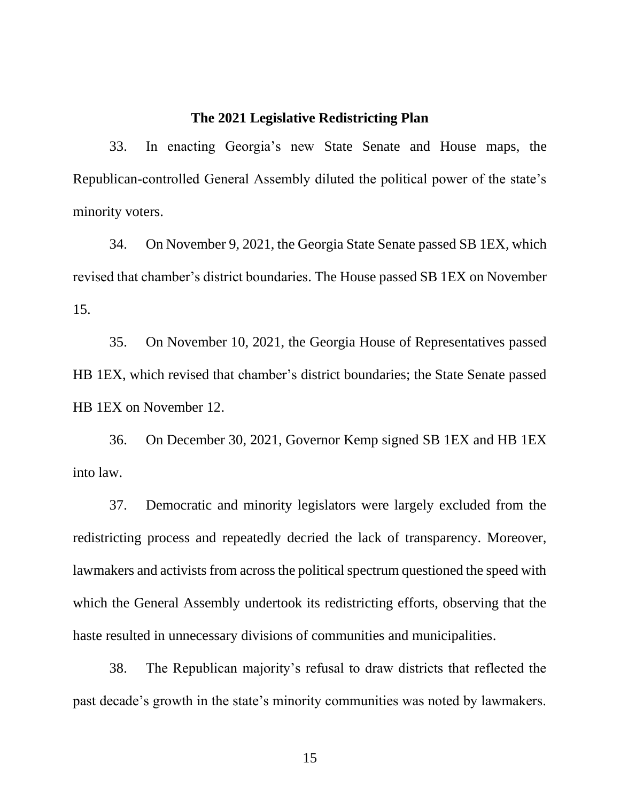## **The 2021 Legislative Redistricting Plan**

33. In enacting Georgia's new State Senate and House maps, the Republican-controlled General Assembly diluted the political power of the state's minority voters.

34. On November 9, 2021, the Georgia State Senate passed SB 1EX, which revised that chamber's district boundaries. The House passed SB 1EX on November 15.

35. On November 10, 2021, the Georgia House of Representatives passed HB 1EX, which revised that chamber's district boundaries; the State Senate passed HB 1EX on November 12.

36. On December 30, 2021, Governor Kemp signed SB 1EX and HB 1EX into law.

37. Democratic and minority legislators were largely excluded from the redistricting process and repeatedly decried the lack of transparency. Moreover, lawmakers and activists from across the political spectrum questioned the speed with which the General Assembly undertook its redistricting efforts, observing that the haste resulted in unnecessary divisions of communities and municipalities.

38. The Republican majority's refusal to draw districts that reflected the past decade's growth in the state's minority communities was noted by lawmakers.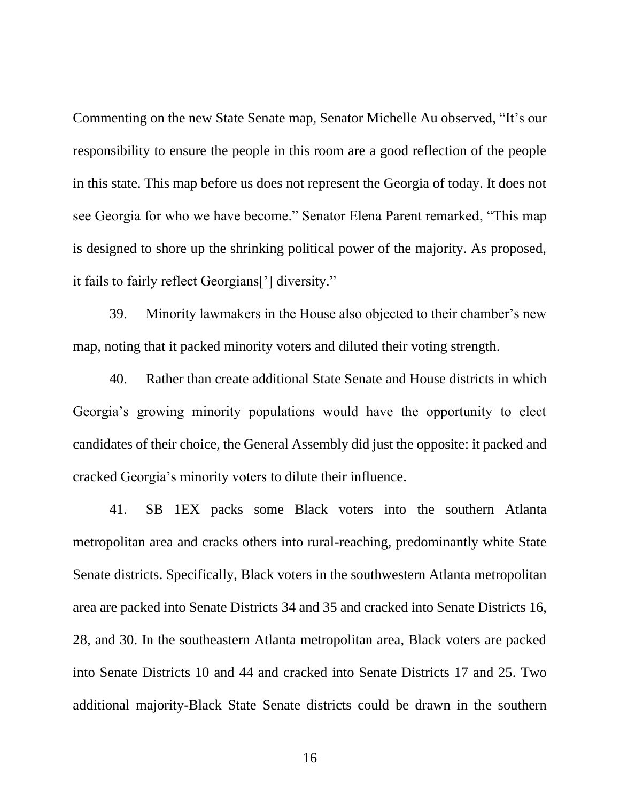Commenting on the new State Senate map, Senator Michelle Au observed, "It's our responsibility to ensure the people in this room are a good reflection of the people in this state. This map before us does not represent the Georgia of today. It does not see Georgia for who we have become." Senator Elena Parent remarked, "This map is designed to shore up the shrinking political power of the majority. As proposed, it fails to fairly reflect Georgians['] diversity."

39. Minority lawmakers in the House also objected to their chamber's new map, noting that it packed minority voters and diluted their voting strength.

40. Rather than create additional State Senate and House districts in which Georgia's growing minority populations would have the opportunity to elect candidates of their choice, the General Assembly did just the opposite: it packed and cracked Georgia's minority voters to dilute their influence.

41. SB 1EX packs some Black voters into the southern Atlanta metropolitan area and cracks others into rural-reaching, predominantly white State Senate districts. Specifically, Black voters in the southwestern Atlanta metropolitan area are packed into Senate Districts 34 and 35 and cracked into Senate Districts 16, 28, and 30. In the southeastern Atlanta metropolitan area, Black voters are packed into Senate Districts 10 and 44 and cracked into Senate Districts 17 and 25. Two additional majority-Black State Senate districts could be drawn in the southern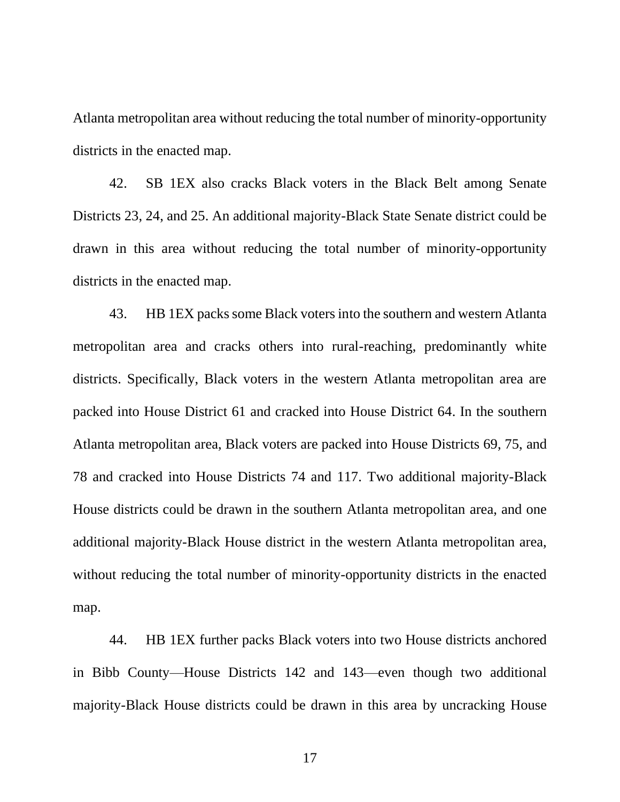Atlanta metropolitan area without reducing the total number of minority-opportunity districts in the enacted map.

42. SB 1EX also cracks Black voters in the Black Belt among Senate Districts 23, 24, and 25. An additional majority-Black State Senate district could be drawn in this area without reducing the total number of minority-opportunity districts in the enacted map.

43. HB 1EX packs some Black voters into the southern and western Atlanta metropolitan area and cracks others into rural-reaching, predominantly white districts. Specifically, Black voters in the western Atlanta metropolitan area are packed into House District 61 and cracked into House District 64. In the southern Atlanta metropolitan area, Black voters are packed into House Districts 69, 75, and 78 and cracked into House Districts 74 and 117. Two additional majority-Black House districts could be drawn in the southern Atlanta metropolitan area, and one additional majority-Black House district in the western Atlanta metropolitan area, without reducing the total number of minority-opportunity districts in the enacted map.

44. HB 1EX further packs Black voters into two House districts anchored in Bibb County—House Districts 142 and 143—even though two additional majority-Black House districts could be drawn in this area by uncracking House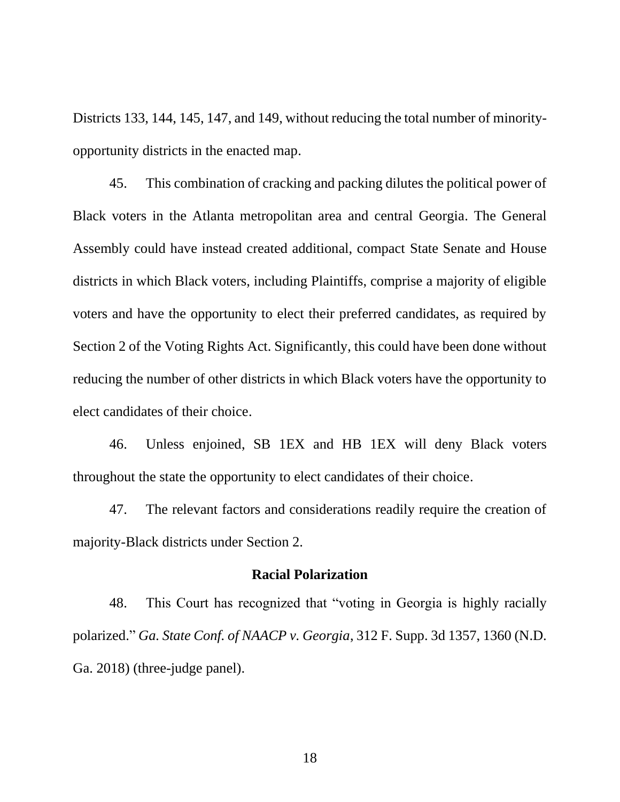Districts 133, 144, 145, 147, and 149, without reducing the total number of minorityopportunity districts in the enacted map.

45. This combination of cracking and packing dilutes the political power of Black voters in the Atlanta metropolitan area and central Georgia. The General Assembly could have instead created additional, compact State Senate and House districts in which Black voters, including Plaintiffs, comprise a majority of eligible voters and have the opportunity to elect their preferred candidates, as required by Section 2 of the Voting Rights Act. Significantly, this could have been done without reducing the number of other districts in which Black voters have the opportunity to elect candidates of their choice.

46. Unless enjoined, SB 1EX and HB 1EX will deny Black voters throughout the state the opportunity to elect candidates of their choice.

47. The relevant factors and considerations readily require the creation of majority-Black districts under Section 2.

## **Racial Polarization**

48. This Court has recognized that "voting in Georgia is highly racially polarized." *Ga. State Conf. of NAACP v. Georgia*, 312 F. Supp. 3d 1357, 1360 (N.D. Ga. 2018) (three-judge panel).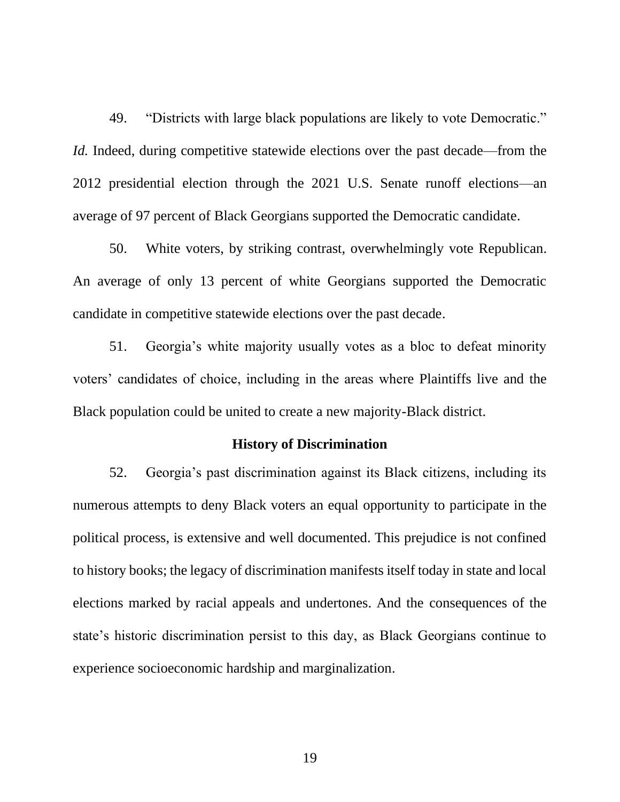49. "Districts with large black populations are likely to vote Democratic." *Id.* Indeed, during competitive statewide elections over the past decade—from the 2012 presidential election through the 2021 U.S. Senate runoff elections—an average of 97 percent of Black Georgians supported the Democratic candidate.

50. White voters, by striking contrast, overwhelmingly vote Republican. An average of only 13 percent of white Georgians supported the Democratic candidate in competitive statewide elections over the past decade.

51. Georgia's white majority usually votes as a bloc to defeat minority voters' candidates of choice, including in the areas where Plaintiffs live and the Black population could be united to create a new majority-Black district.

## **History of Discrimination**

52. Georgia's past discrimination against its Black citizens, including its numerous attempts to deny Black voters an equal opportunity to participate in the political process, is extensive and well documented. This prejudice is not confined to history books; the legacy of discrimination manifests itself today in state and local elections marked by racial appeals and undertones. And the consequences of the state's historic discrimination persist to this day, as Black Georgians continue to experience socioeconomic hardship and marginalization.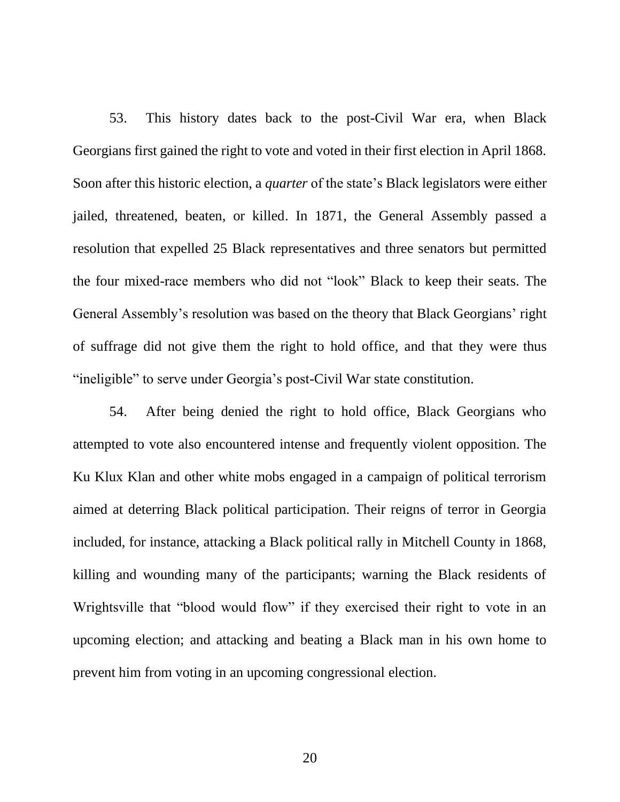53. This history dates back to the post-Civil War era, when Black Georgians first gained the right to vote and voted in their first election in April 1868. Soon after this historic election, a *quarter* of the state's Black legislators were either jailed, threatened, beaten, or killed. In 1871, the General Assembly passed a resolution that expelled 25 Black representatives and three senators but permitted the four mixed-race members who did not "look" Black to keep their seats. The General Assembly's resolution was based on the theory that Black Georgians' right of suffrage did not give them the right to hold office, and that they were thus "ineligible" to serve under Georgia's post-Civil War state constitution.

54. After being denied the right to hold office, Black Georgians who attempted to vote also encountered intense and frequently violent opposition. The Ku Klux Klan and other white mobs engaged in a campaign of political terrorism aimed at deterring Black political participation. Their reigns of terror in Georgia included, for instance, attacking a Black political rally in Mitchell County in 1868, killing and wounding many of the participants; warning the Black residents of Wrightsville that "blood would flow" if they exercised their right to vote in an upcoming election; and attacking and beating a Black man in his own home to prevent him from voting in an upcoming congressional election.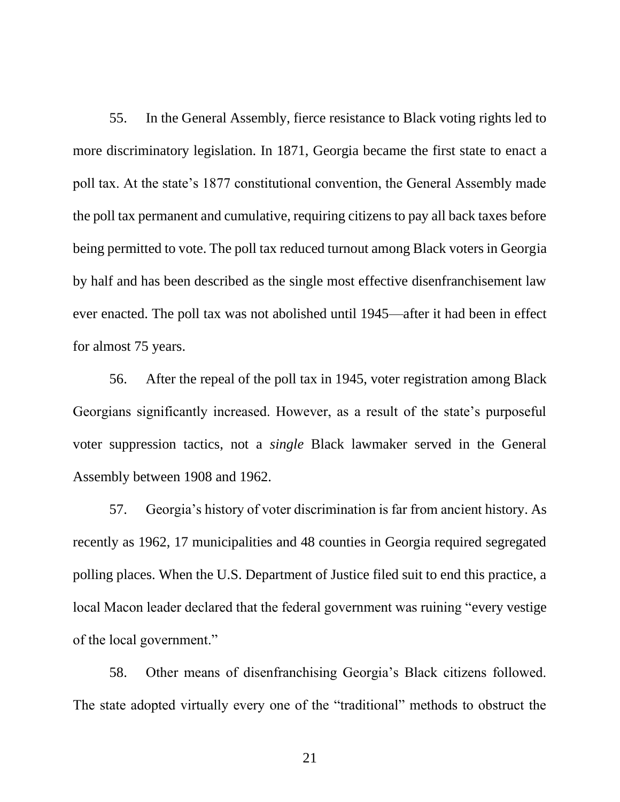55. In the General Assembly, fierce resistance to Black voting rights led to more discriminatory legislation. In 1871, Georgia became the first state to enact a poll tax. At the state's 1877 constitutional convention, the General Assembly made the poll tax permanent and cumulative, requiring citizens to pay all back taxes before being permitted to vote. The poll tax reduced turnout among Black voters in Georgia by half and has been described as the single most effective disenfranchisement law ever enacted. The poll tax was not abolished until 1945—after it had been in effect for almost 75 years.

56. After the repeal of the poll tax in 1945, voter registration among Black Georgians significantly increased. However, as a result of the state's purposeful voter suppression tactics, not a *single* Black lawmaker served in the General Assembly between 1908 and 1962.

57. Georgia's history of voter discrimination is far from ancient history. As recently as 1962, 17 municipalities and 48 counties in Georgia required segregated polling places. When the U.S. Department of Justice filed suit to end this practice, a local Macon leader declared that the federal government was ruining "every vestige of the local government."

58. Other means of disenfranchising Georgia's Black citizens followed. The state adopted virtually every one of the "traditional" methods to obstruct the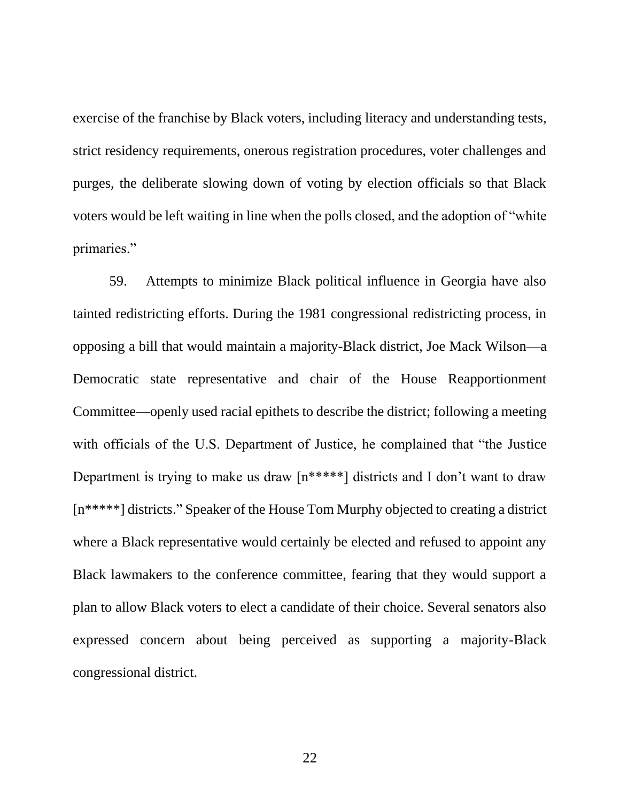exercise of the franchise by Black voters, including literacy and understanding tests, strict residency requirements, onerous registration procedures, voter challenges and purges, the deliberate slowing down of voting by election officials so that Black voters would be left waiting in line when the polls closed, and the adoption of "white primaries."

59. Attempts to minimize Black political influence in Georgia have also tainted redistricting efforts. During the 1981 congressional redistricting process, in opposing a bill that would maintain a majority-Black district, Joe Mack Wilson—a Democratic state representative and chair of the House Reapportionment Committee—openly used racial epithets to describe the district; following a meeting with officials of the U.S. Department of Justice, he complained that "the Justice Department is trying to make us draw [n\*\*\*\*\*] districts and I don't want to draw [n\*\*\*\*\*] districts." Speaker of the House Tom Murphy objected to creating a district where a Black representative would certainly be elected and refused to appoint any Black lawmakers to the conference committee, fearing that they would support a plan to allow Black voters to elect a candidate of their choice. Several senators also expressed concern about being perceived as supporting a majority-Black congressional district.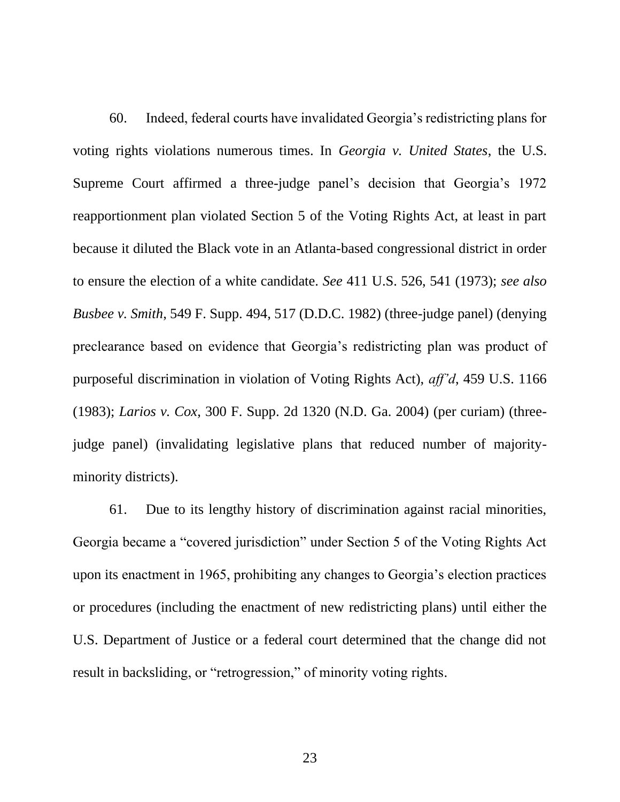60. Indeed, federal courts have invalidated Georgia's redistricting plans for voting rights violations numerous times. In *Georgia v. United States*, the U.S. Supreme Court affirmed a three-judge panel's decision that Georgia's 1972 reapportionment plan violated Section 5 of the Voting Rights Act, at least in part because it diluted the Black vote in an Atlanta-based congressional district in order to ensure the election of a white candidate. *See* 411 U.S. 526, 541 (1973); *see also Busbee v. Smith*, 549 F. Supp. 494, 517 (D.D.C. 1982) (three-judge panel) (denying preclearance based on evidence that Georgia's redistricting plan was product of purposeful discrimination in violation of Voting Rights Act), *aff'd*, 459 U.S. 1166 (1983); *Larios v. Cox*, 300 F. Supp. 2d 1320 (N.D. Ga. 2004) (per curiam) (threejudge panel) (invalidating legislative plans that reduced number of majorityminority districts).

61. Due to its lengthy history of discrimination against racial minorities, Georgia became a "covered jurisdiction" under Section 5 of the Voting Rights Act upon its enactment in 1965, prohibiting any changes to Georgia's election practices or procedures (including the enactment of new redistricting plans) until either the U.S. Department of Justice or a federal court determined that the change did not result in backsliding, or "retrogression," of minority voting rights.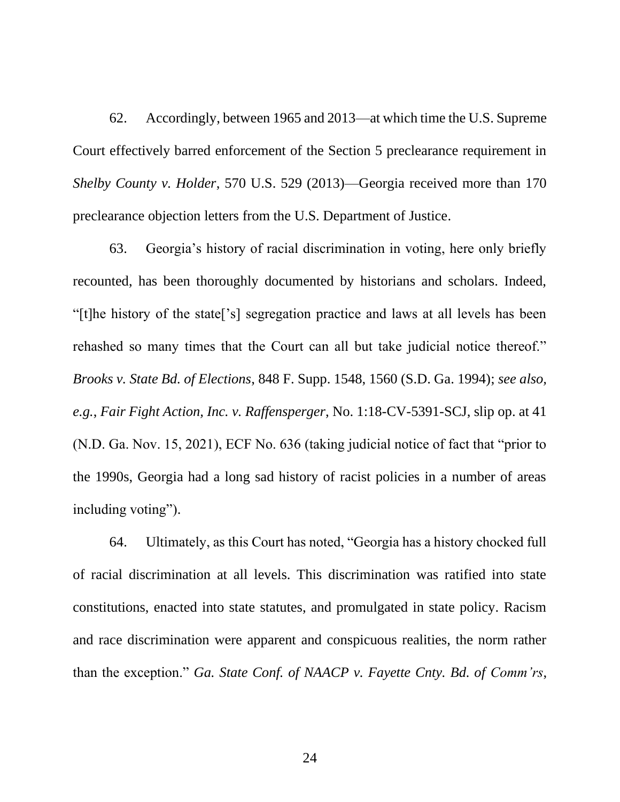62. Accordingly, between 1965 and 2013—at which time the U.S. Supreme Court effectively barred enforcement of the Section 5 preclearance requirement in *Shelby County v. Holder*, 570 U.S. 529 (2013)—Georgia received more than 170 preclearance objection letters from the U.S. Department of Justice.

63. Georgia's history of racial discrimination in voting, here only briefly recounted, has been thoroughly documented by historians and scholars. Indeed, "[t]he history of the state['s] segregation practice and laws at all levels has been rehashed so many times that the Court can all but take judicial notice thereof." *Brooks v. State Bd. of Elections*, 848 F. Supp. 1548, 1560 (S.D. Ga. 1994); *see also, e.g.*, *Fair Fight Action, Inc. v. Raffensperger*, No. 1:18-CV-5391-SCJ, slip op. at 41 (N.D. Ga. Nov. 15, 2021), ECF No. 636 (taking judicial notice of fact that "prior to the 1990s, Georgia had a long sad history of racist policies in a number of areas including voting").

64. Ultimately, as this Court has noted, "Georgia has a history chocked full of racial discrimination at all levels. This discrimination was ratified into state constitutions, enacted into state statutes, and promulgated in state policy. Racism and race discrimination were apparent and conspicuous realities, the norm rather than the exception." *Ga. State Conf. of NAACP v. Fayette Cnty. Bd. of Comm'rs*,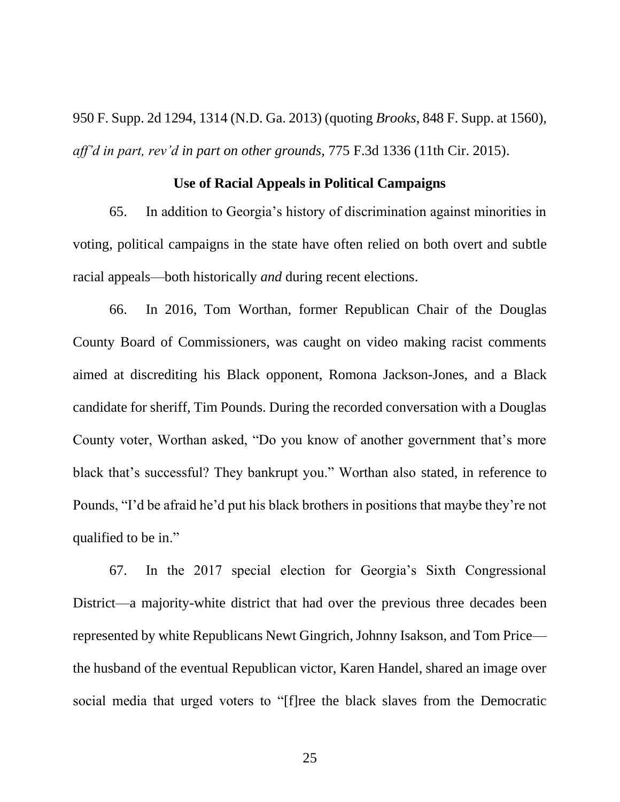950 F. Supp. 2d 1294, 1314 (N.D. Ga. 2013) (quoting *Brooks*, 848 F. Supp. at 1560), *aff'd in part, rev'd in part on other grounds*, 775 F.3d 1336 (11th Cir. 2015).

# **Use of Racial Appeals in Political Campaigns**

65. In addition to Georgia's history of discrimination against minorities in voting, political campaigns in the state have often relied on both overt and subtle racial appeals—both historically *and* during recent elections.

66. In 2016, Tom Worthan, former Republican Chair of the Douglas County Board of Commissioners, was caught on video making racist comments aimed at discrediting his Black opponent, Romona Jackson-Jones, and a Black candidate for sheriff, Tim Pounds. During the recorded conversation with a Douglas County voter, Worthan asked, "Do you know of another government that's more black that's successful? They bankrupt you." Worthan also stated, in reference to Pounds, "I'd be afraid he'd put his black brothers in positions that maybe they're not qualified to be in."

67. In the 2017 special election for Georgia's Sixth Congressional District—a majority-white district that had over the previous three decades been represented by white Republicans Newt Gingrich, Johnny Isakson, and Tom Price the husband of the eventual Republican victor, Karen Handel, shared an image over social media that urged voters to "[f]ree the black slaves from the Democratic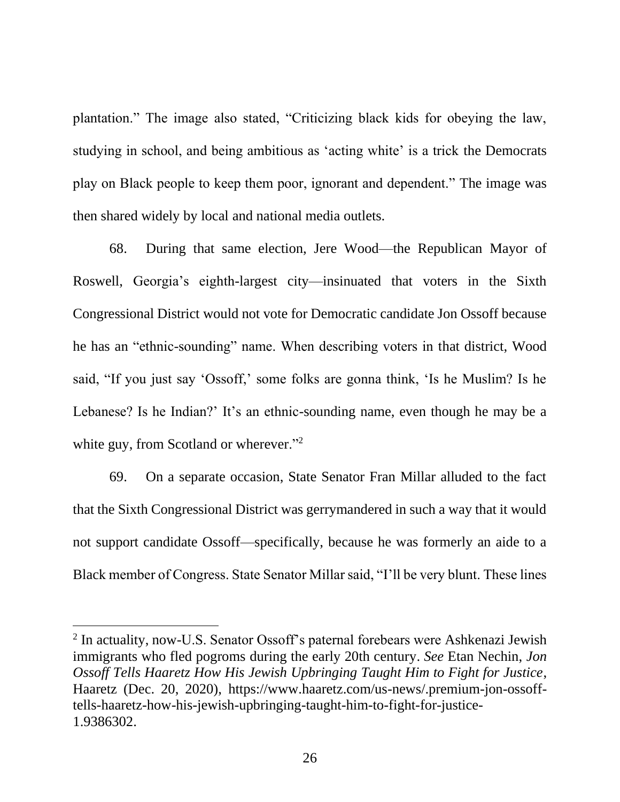plantation." The image also stated, "Criticizing black kids for obeying the law, studying in school, and being ambitious as 'acting white' is a trick the Democrats play on Black people to keep them poor, ignorant and dependent." The image was then shared widely by local and national media outlets.

68. During that same election, Jere Wood—the Republican Mayor of Roswell, Georgia's eighth-largest city—insinuated that voters in the Sixth Congressional District would not vote for Democratic candidate Jon Ossoff because he has an "ethnic-sounding" name. When describing voters in that district, Wood said, "If you just say 'Ossoff,' some folks are gonna think, 'Is he Muslim? Is he Lebanese? Is he Indian?' It's an ethnic-sounding name, even though he may be a white guy, from Scotland or wherever."<sup>2</sup>

69. On a separate occasion, State Senator Fran Millar alluded to the fact that the Sixth Congressional District was gerrymandered in such a way that it would not support candidate Ossoff—specifically, because he was formerly an aide to a Black member of Congress. State Senator Millar said, "I'll be very blunt. These lines

 $2$  In actuality, now-U.S. Senator Ossoff's paternal forebears were Ashkenazi Jewish immigrants who fled pogroms during the early 20th century. *See* Etan Nechin, *Jon Ossoff Tells Haaretz How His Jewish Upbringing Taught Him to Fight for Justice*, Haaretz (Dec. 20, 2020), https://www.haaretz.com/us-news/.premium-jon-ossofftells-haaretz-how-his-jewish-upbringing-taught-him-to-fight-for-justice-1.9386302.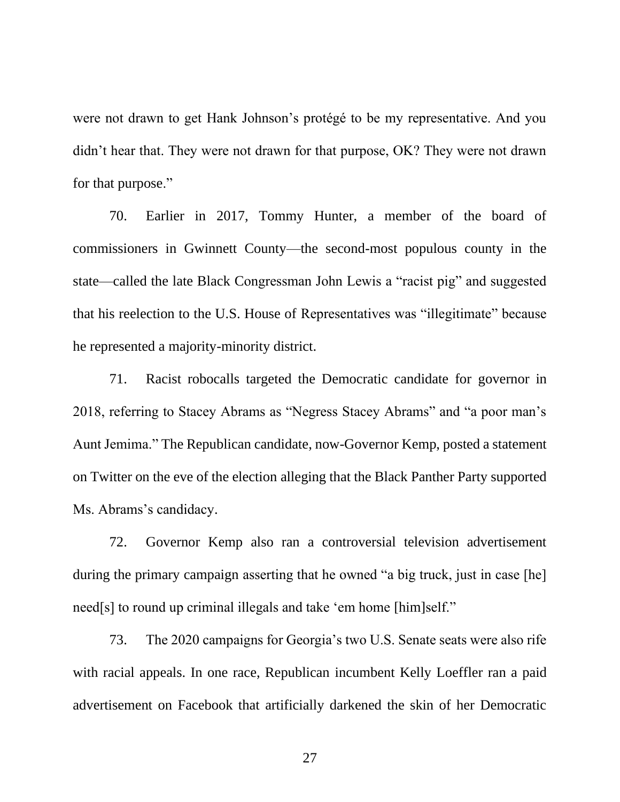were not drawn to get Hank Johnson's protégé to be my representative. And you didn't hear that. They were not drawn for that purpose, OK? They were not drawn for that purpose."

70. Earlier in 2017, Tommy Hunter, a member of the board of commissioners in Gwinnett County—the second-most populous county in the state—called the late Black Congressman John Lewis a "racist pig" and suggested that his reelection to the U.S. House of Representatives was "illegitimate" because he represented a majority-minority district.

71. Racist robocalls targeted the Democratic candidate for governor in 2018, referring to Stacey Abrams as "Negress Stacey Abrams" and "a poor man's Aunt Jemima." The Republican candidate, now-Governor Kemp, posted a statement on Twitter on the eve of the election alleging that the Black Panther Party supported Ms. Abrams's candidacy.

72. Governor Kemp also ran a controversial television advertisement during the primary campaign asserting that he owned "a big truck, just in case [he] need[s] to round up criminal illegals and take 'em home [him]self."

73. The 2020 campaigns for Georgia's two U.S. Senate seats were also rife with racial appeals. In one race, Republican incumbent Kelly Loeffler ran a paid advertisement on Facebook that artificially darkened the skin of her Democratic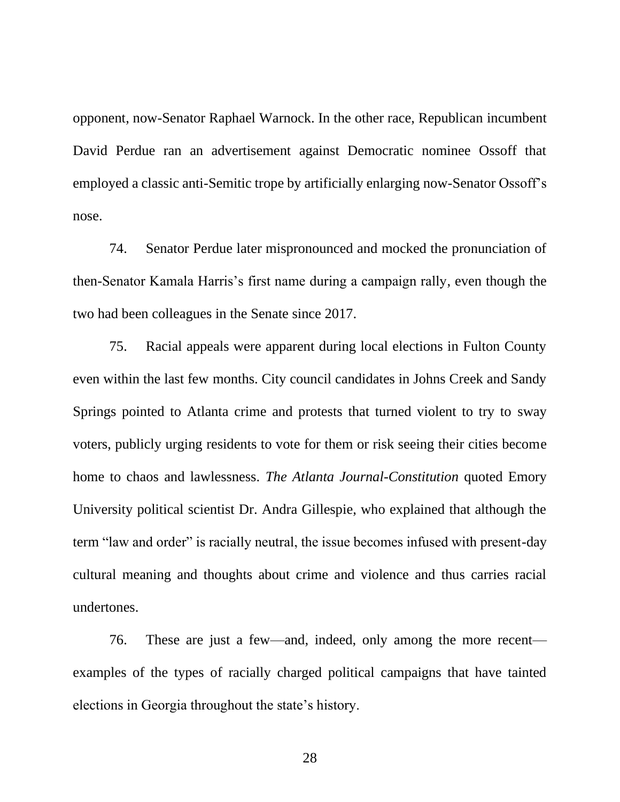opponent, now-Senator Raphael Warnock. In the other race, Republican incumbent David Perdue ran an advertisement against Democratic nominee Ossoff that employed a classic anti-Semitic trope by artificially enlarging now-Senator Ossoff's nose.

74. Senator Perdue later mispronounced and mocked the pronunciation of then-Senator Kamala Harris's first name during a campaign rally, even though the two had been colleagues in the Senate since 2017.

75. Racial appeals were apparent during local elections in Fulton County even within the last few months. City council candidates in Johns Creek and Sandy Springs pointed to Atlanta crime and protests that turned violent to try to sway voters, publicly urging residents to vote for them or risk seeing their cities become home to chaos and lawlessness. *The Atlanta Journal-Constitution* quoted Emory University political scientist Dr. Andra Gillespie, who explained that although the term "law and order" is racially neutral, the issue becomes infused with present-day cultural meaning and thoughts about crime and violence and thus carries racial undertones.

76. These are just a few—and, indeed, only among the more recent examples of the types of racially charged political campaigns that have tainted elections in Georgia throughout the state's history.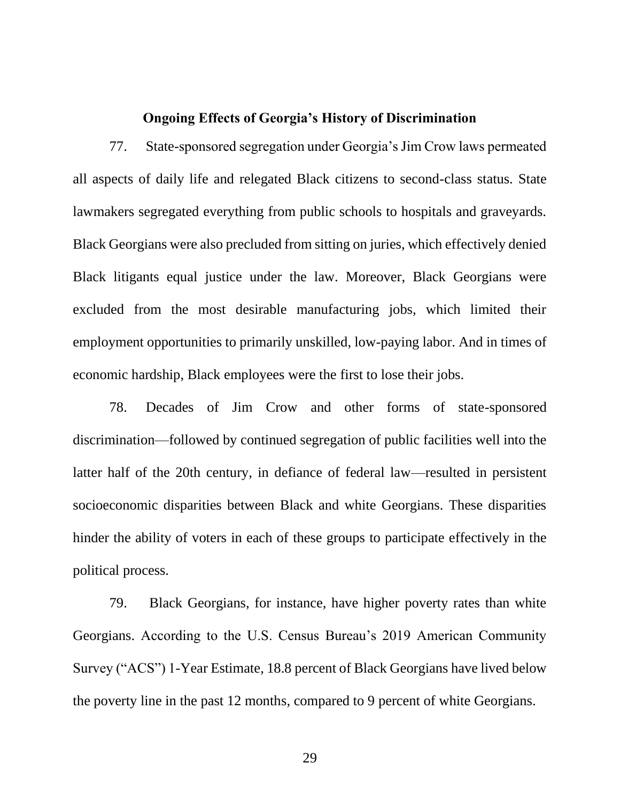## **Ongoing Effects of Georgia's History of Discrimination**

77. State-sponsored segregation under Georgia's Jim Crow laws permeated all aspects of daily life and relegated Black citizens to second-class status. State lawmakers segregated everything from public schools to hospitals and graveyards. Black Georgians were also precluded from sitting on juries, which effectively denied Black litigants equal justice under the law. Moreover, Black Georgians were excluded from the most desirable manufacturing jobs, which limited their employment opportunities to primarily unskilled, low-paying labor. And in times of economic hardship, Black employees were the first to lose their jobs.

78. Decades of Jim Crow and other forms of state-sponsored discrimination—followed by continued segregation of public facilities well into the latter half of the 20th century, in defiance of federal law—resulted in persistent socioeconomic disparities between Black and white Georgians. These disparities hinder the ability of voters in each of these groups to participate effectively in the political process.

79. Black Georgians, for instance, have higher poverty rates than white Georgians. According to the U.S. Census Bureau's 2019 American Community Survey ("ACS") 1-Year Estimate, 18.8 percent of Black Georgians have lived below the poverty line in the past 12 months, compared to 9 percent of white Georgians.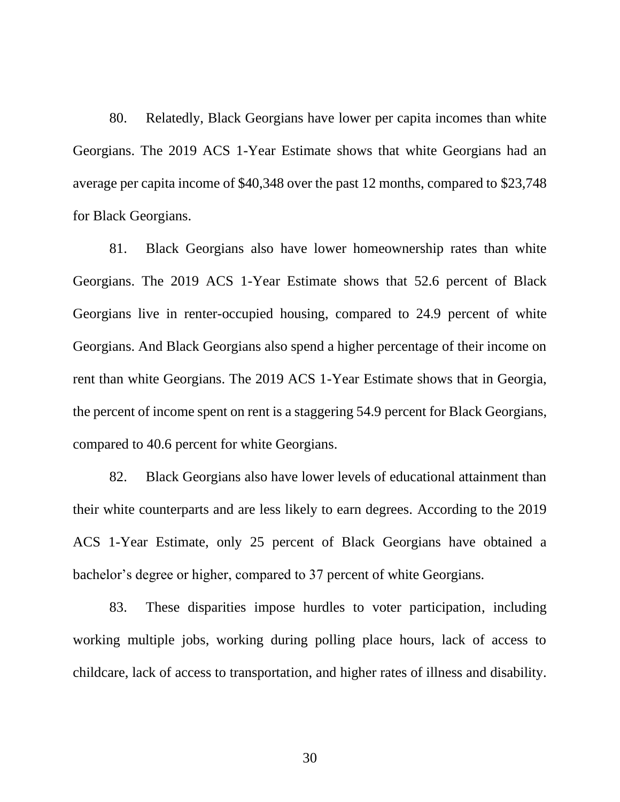80. Relatedly, Black Georgians have lower per capita incomes than white Georgians. The 2019 ACS 1-Year Estimate shows that white Georgians had an average per capita income of \$40,348 over the past 12 months, compared to \$23,748 for Black Georgians.

81. Black Georgians also have lower homeownership rates than white Georgians. The 2019 ACS 1-Year Estimate shows that 52.6 percent of Black Georgians live in renter-occupied housing, compared to 24.9 percent of white Georgians. And Black Georgians also spend a higher percentage of their income on rent than white Georgians. The 2019 ACS 1-Year Estimate shows that in Georgia, the percent of income spent on rent is a staggering 54.9 percent for Black Georgians, compared to 40.6 percent for white Georgians.

82. Black Georgians also have lower levels of educational attainment than their white counterparts and are less likely to earn degrees. According to the 2019 ACS 1-Year Estimate, only 25 percent of Black Georgians have obtained a bachelor's degree or higher, compared to 37 percent of white Georgians.

83. These disparities impose hurdles to voter participation, including working multiple jobs, working during polling place hours, lack of access to childcare, lack of access to transportation, and higher rates of illness and disability.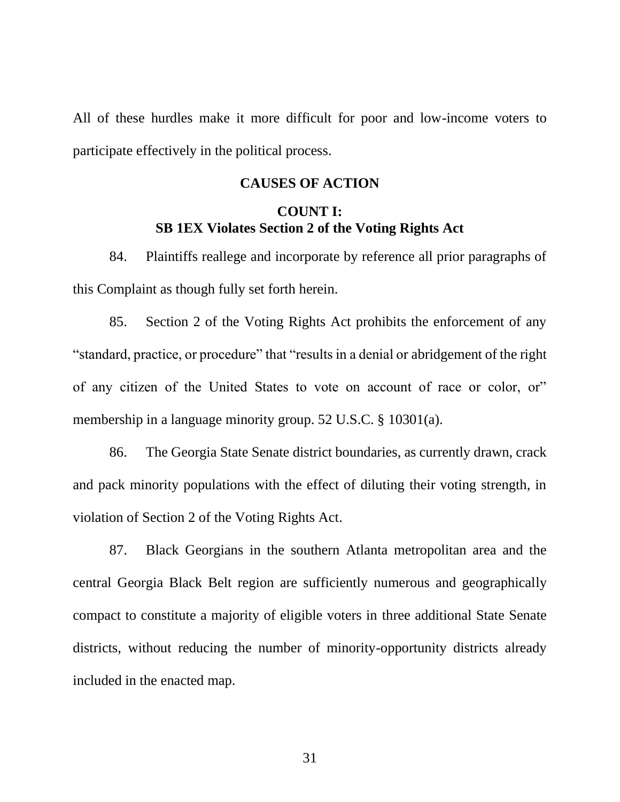All of these hurdles make it more difficult for poor and low-income voters to participate effectively in the political process.

### **CAUSES OF ACTION**

# **COUNT I: SB 1EX Violates Section 2 of the Voting Rights Act**

84. Plaintiffs reallege and incorporate by reference all prior paragraphs of this Complaint as though fully set forth herein.

85. Section 2 of the Voting Rights Act prohibits the enforcement of any "standard, practice, or procedure" that "results in a denial or abridgement of the right of any citizen of the United States to vote on account of race or color, or" membership in a language minority group. 52 U.S.C. § 10301(a).

86. The Georgia State Senate district boundaries, as currently drawn, crack and pack minority populations with the effect of diluting their voting strength, in violation of Section 2 of the Voting Rights Act.

87. Black Georgians in the southern Atlanta metropolitan area and the central Georgia Black Belt region are sufficiently numerous and geographically compact to constitute a majority of eligible voters in three additional State Senate districts, without reducing the number of minority-opportunity districts already included in the enacted map.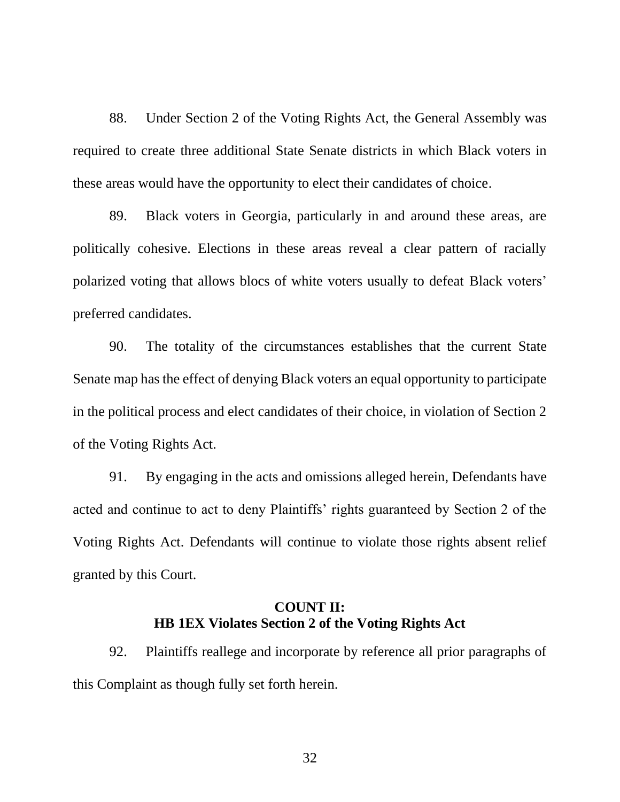88. Under Section 2 of the Voting Rights Act, the General Assembly was required to create three additional State Senate districts in which Black voters in these areas would have the opportunity to elect their candidates of choice.

89. Black voters in Georgia, particularly in and around these areas, are politically cohesive. Elections in these areas reveal a clear pattern of racially polarized voting that allows blocs of white voters usually to defeat Black voters' preferred candidates.

90. The totality of the circumstances establishes that the current State Senate map has the effect of denying Black voters an equal opportunity to participate in the political process and elect candidates of their choice, in violation of Section 2 of the Voting Rights Act.

91. By engaging in the acts and omissions alleged herein, Defendants have acted and continue to act to deny Plaintiffs' rights guaranteed by Section 2 of the Voting Rights Act. Defendants will continue to violate those rights absent relief granted by this Court.

# **COUNT II: HB 1EX Violates Section 2 of the Voting Rights Act**

92. Plaintiffs reallege and incorporate by reference all prior paragraphs of this Complaint as though fully set forth herein.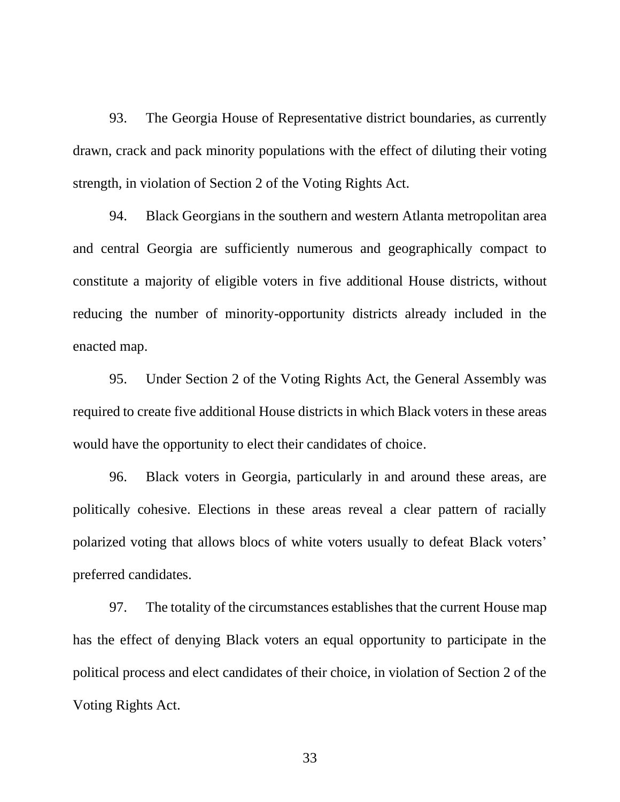93. The Georgia House of Representative district boundaries, as currently drawn, crack and pack minority populations with the effect of diluting their voting strength, in violation of Section 2 of the Voting Rights Act.

94. Black Georgians in the southern and western Atlanta metropolitan area and central Georgia are sufficiently numerous and geographically compact to constitute a majority of eligible voters in five additional House districts, without reducing the number of minority-opportunity districts already included in the enacted map.

95. Under Section 2 of the Voting Rights Act, the General Assembly was required to create five additional House districts in which Black voters in these areas would have the opportunity to elect their candidates of choice.

96. Black voters in Georgia, particularly in and around these areas, are politically cohesive. Elections in these areas reveal a clear pattern of racially polarized voting that allows blocs of white voters usually to defeat Black voters' preferred candidates.

97. The totality of the circumstances establishes that the current House map has the effect of denying Black voters an equal opportunity to participate in the political process and elect candidates of their choice, in violation of Section 2 of the Voting Rights Act.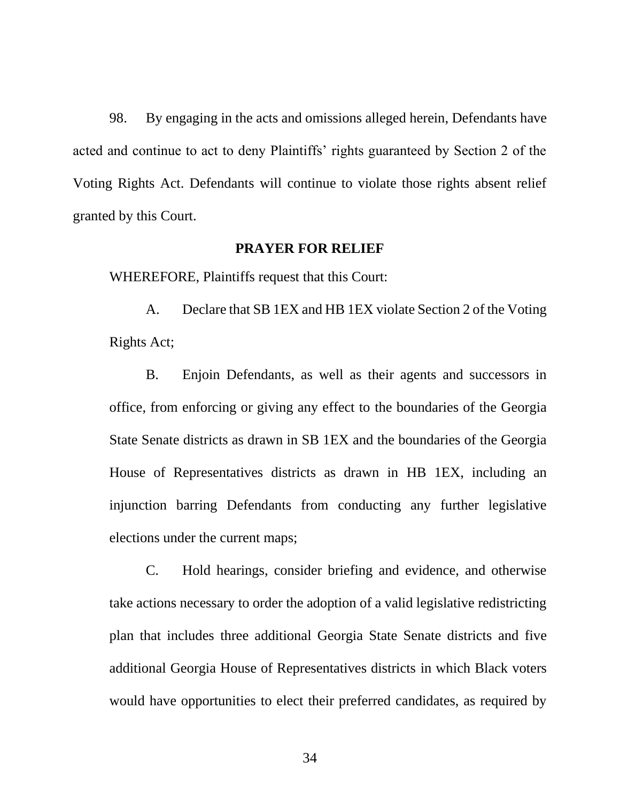98. By engaging in the acts and omissions alleged herein, Defendants have acted and continue to act to deny Plaintiffs' rights guaranteed by Section 2 of the Voting Rights Act. Defendants will continue to violate those rights absent relief granted by this Court.

#### **PRAYER FOR RELIEF**

WHEREFORE, Plaintiffs request that this Court:

A. Declare that SB 1EX and HB 1EX violate Section 2 of the Voting Rights Act;

B. Enjoin Defendants, as well as their agents and successors in office, from enforcing or giving any effect to the boundaries of the Georgia State Senate districts as drawn in SB 1EX and the boundaries of the Georgia House of Representatives districts as drawn in HB 1EX, including an injunction barring Defendants from conducting any further legislative elections under the current maps;

C. Hold hearings, consider briefing and evidence, and otherwise take actions necessary to order the adoption of a valid legislative redistricting plan that includes three additional Georgia State Senate districts and five additional Georgia House of Representatives districts in which Black voters would have opportunities to elect their preferred candidates, as required by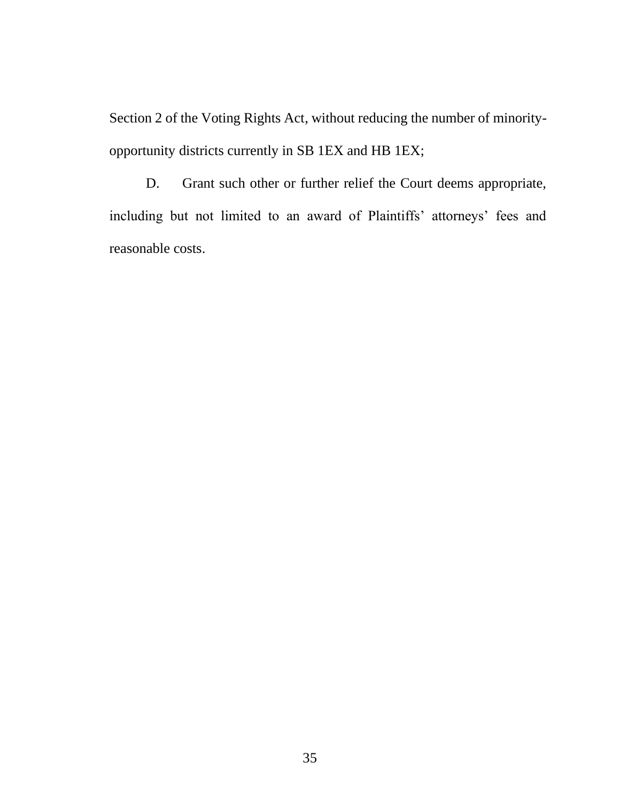Section 2 of the Voting Rights Act, without reducing the number of minorityopportunity districts currently in SB 1EX and HB 1EX;

D. Grant such other or further relief the Court deems appropriate, including but not limited to an award of Plaintiffs' attorneys' fees and reasonable costs.